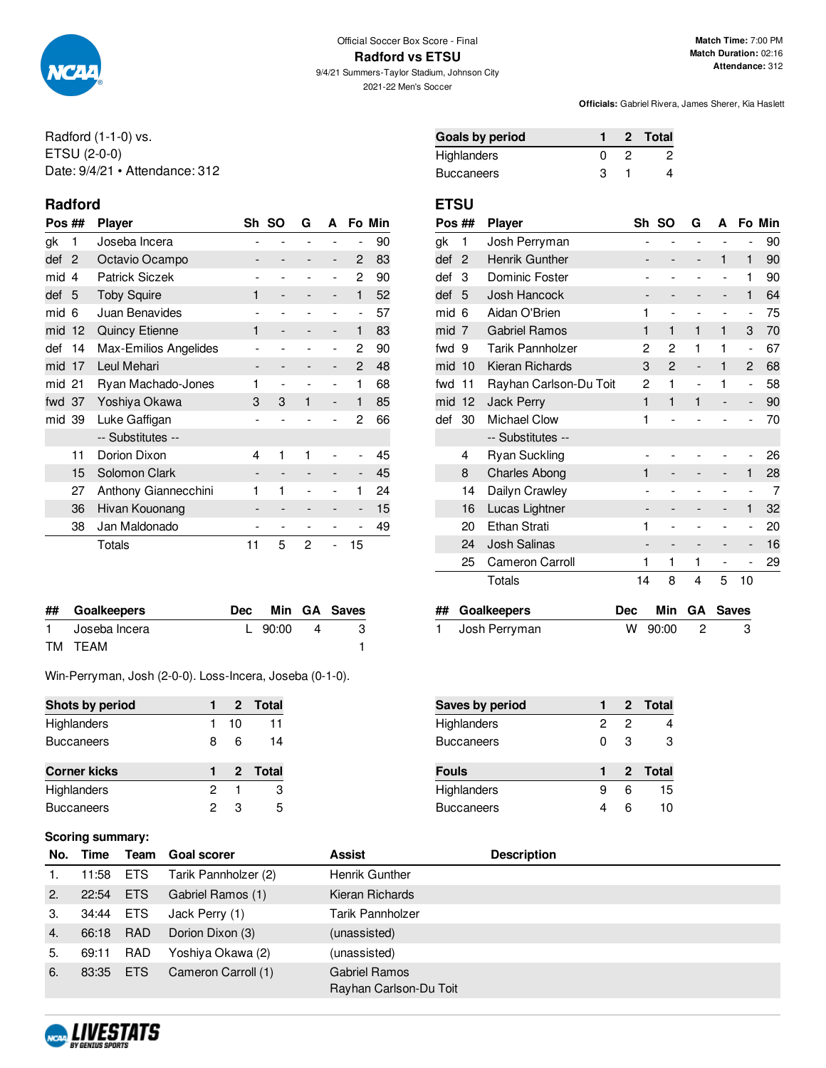

**Radford vs ETSU** 9/4/21 Summers-Taylor Stadium, Johnson City

2021-22 Men's Soccer

**Officials:** Gabriel Rivera, James Sherer, Kia Haslett

Radford (1-1-0) vs. ETSU (2-0-0) Date: 9/4/21 • Attendance: 312

## **Radford ETSU**

| Pos ##    | <b>Player</b>         | Sh | -SO                          | G | A                            |              | Fo Min |
|-----------|-----------------------|----|------------------------------|---|------------------------------|--------------|--------|
| gk<br>1   | Joseba Incera         |    |                              |   |                              |              | 90     |
| def<br>2  | Octavio Ocampo        |    |                              |   | $\qquad \qquad \blacksquare$ | 2            | 83     |
| mid<br>4  | <b>Patrick Siczek</b> |    |                              |   | $\overline{\phantom{0}}$     | 2            | 90     |
| def<br>5  | <b>Toby Squire</b>    | 1  | $\overline{\phantom{0}}$     |   | -                            | 1            | 52     |
| mid<br>6  | Juan Benavides        |    |                              |   | -                            | ۰            | 57     |
| mid<br>12 | <b>Quincy Etienne</b> | 1  | $\overline{\phantom{0}}$     |   | -                            | 1            | 83     |
| 14<br>def | Max-Emilios Angelides |    |                              |   | $\overline{\phantom{0}}$     | 2            | 90     |
| mid<br>17 | Leul Mehari           |    | $\qquad \qquad \blacksquare$ |   | -                            | 2            | 48     |
| mid<br>21 | Ryan Machado-Jones    | 1  | $\overline{a}$               |   | $\overline{\phantom{0}}$     | 1            | 68     |
| fwd 37    | Yoshiya Okawa         | 3  | 3                            | 1 | $\overline{\phantom{0}}$     | $\mathbf{1}$ | 85     |
| mid 39    | Luke Gaffigan         |    |                              |   |                              | 2            | 66     |
|           | -- Substitutes --     |    |                              |   |                              |              |        |
| 11        | Dorion Dixon          | 4  | 1                            | 1 |                              | -            | 45     |
| 15        | Solomon Clark         |    | $\qquad \qquad -$            |   |                              | -            | 45     |
| 27        | Anthony Giannecchini  | 1  | 1                            |   |                              | 1            | 24     |
| 36        | Hivan Kouonang        |    | $\qquad \qquad \blacksquare$ |   |                              | -            | 15     |
| 38        | Jan Maldonado         |    | $\qquad \qquad \blacksquare$ |   |                              |              | 49     |
|           | Totals                | 11 | 5                            | 2 | $\overline{\phantom{0}}$     | 15           |        |

| ## Goalkeepers  |           |    | Dec Min GA Saves |
|-----------------|-----------|----|------------------|
| 1 Joseba Incera | L $90:00$ | -4 |                  |
| TM TEAM         |           |    |                  |

Win-Perryman, Josh (2-0-0). Loss-Incera, Joseba (0-1-0).

| Shots by period     |   |    | 2 Total |
|---------------------|---|----|---------|
| Highlanders         |   | 10 | 11      |
| <b>Buccaneers</b>   | 8 | 6  | 14      |
| <b>Corner kicks</b> |   |    | 2 Total |
| Highlanders         | 2 |    | 3       |
| <b>Buccaneers</b>   | 2 | з  | 5       |

#### **Scoring summary:**

| Goals by period |  | 2 Total |
|-----------------|--|---------|
| Highlanders     |  |         |
| Buccaneers      |  |         |

| Pos ## |                | <b>Player</b>          | Sh                           | <b>SO</b>                    | G                            | A                        |                          | Fo Min |
|--------|----------------|------------------------|------------------------------|------------------------------|------------------------------|--------------------------|--------------------------|--------|
| gk     | 1              | Josh Perryman          |                              |                              |                              |                          | -                        | 90     |
| def    | $\overline{2}$ | Henrik Gunther         |                              |                              | $\qquad \qquad \blacksquare$ | 1                        | 1                        | 90     |
| def    | 3              | Dominic Foster         |                              |                              |                              | $\overline{\phantom{0}}$ | 1                        | 90     |
| def    | 5              | Josh Hancock           |                              | -                            |                              | -                        | 1                        | 64     |
| mid    | 6              | Aidan O'Brien          | 1                            |                              |                              |                          | $\overline{\phantom{a}}$ | 75     |
| mid    | 7              | <b>Gabriel Ramos</b>   | 1                            | 1                            | 1                            | 1                        | 3                        | 70     |
| fwd    | 9              | Tarik Pannholzer       | 2                            | 2                            | 1                            | 1                        | $\overline{\phantom{m}}$ | 67     |
| mid    | 10             | Kieran Richards        | 3                            | 2                            | $\overline{\phantom{a}}$     | 1                        | $\overline{2}$           | 68     |
| fwd    | 11             | Rayhan Carlson-Du Toit | 2                            | 1                            | $\overline{a}$               | 1                        | $\overline{\phantom{m}}$ | 58     |
| mid    | 12             | <b>Jack Perry</b>      | 1                            | 1                            | 1                            |                          | -                        | 90     |
| def    | 30             | <b>Michael Clow</b>    | 1                            |                              |                              |                          | $\overline{\phantom{0}}$ | 70     |
|        |                | -- Substitutes --      |                              |                              |                              |                          |                          |        |
|        | 4              | <b>Ryan Suckling</b>   |                              |                              |                              |                          | -                        | 26     |
|        | 8              | <b>Charles Abong</b>   | 1                            |                              |                              |                          | 1                        | 28     |
|        | 14             | Dailyn Crawley         |                              |                              |                              |                          | $\overline{a}$           | 7      |
|        | 16             | Lucas Lightner         | $\qquad \qquad \blacksquare$ | -                            |                              | -                        | 1                        | 32     |
|        | 20             | Ethan Strati           | 1                            |                              |                              |                          | -                        | 20     |
|        | 24             | <b>Josh Salinas</b>    |                              | $\qquad \qquad \blacksquare$ | $\qquad \qquad \blacksquare$ | -                        | -                        | 16     |
|        | 25             | Cameron Carroll        | 1                            | 1                            | 1                            |                          |                          | 29     |
|        |                | Totals                 | 14                           | 8                            | 4                            | 5                        | 10                       |        |

| ## Goalkeepers  |           | Dec Min GA Saves |
|-----------------|-----------|------------------|
| 1 Josh Perryman | W 90:00 2 | - 3              |

| Saves by period   |   |   | 2 Total |
|-------------------|---|---|---------|
| Highlanders       | 2 | 2 |         |
| <b>Buccaneers</b> | O | З | З       |
|                   |   |   |         |
| <b>Fouls</b>      |   |   | 2 Total |
| Highlanders       | я | 6 | 15      |

|    | No. Time  |            | <b>Team</b> Goal scorer | Assist                                         | <b>Description</b> |
|----|-----------|------------|-------------------------|------------------------------------------------|--------------------|
| 1. | 11:58     | ETS        | Tarik Pannholzer (2)    | Henrik Gunther                                 |                    |
| 2. | 22:54     | <b>ETS</b> | Gabriel Ramos (1)       | Kieran Richards                                |                    |
| 3. | 34:44     | ETS        | Jack Perry (1)          | Tarik Pannholzer                               |                    |
| 4. | 66:18     | RAD        | Dorion Dixon (3)        | (unassisted)                                   |                    |
| 5. | 69:11     | <b>RAD</b> | Yoshiya Okawa (2)       | (unassisted)                                   |                    |
| 6. | 83:35 ETS |            | Cameron Carroll (1)     | <b>Gabriel Ramos</b><br>Rayhan Carlson-Du Toit |                    |

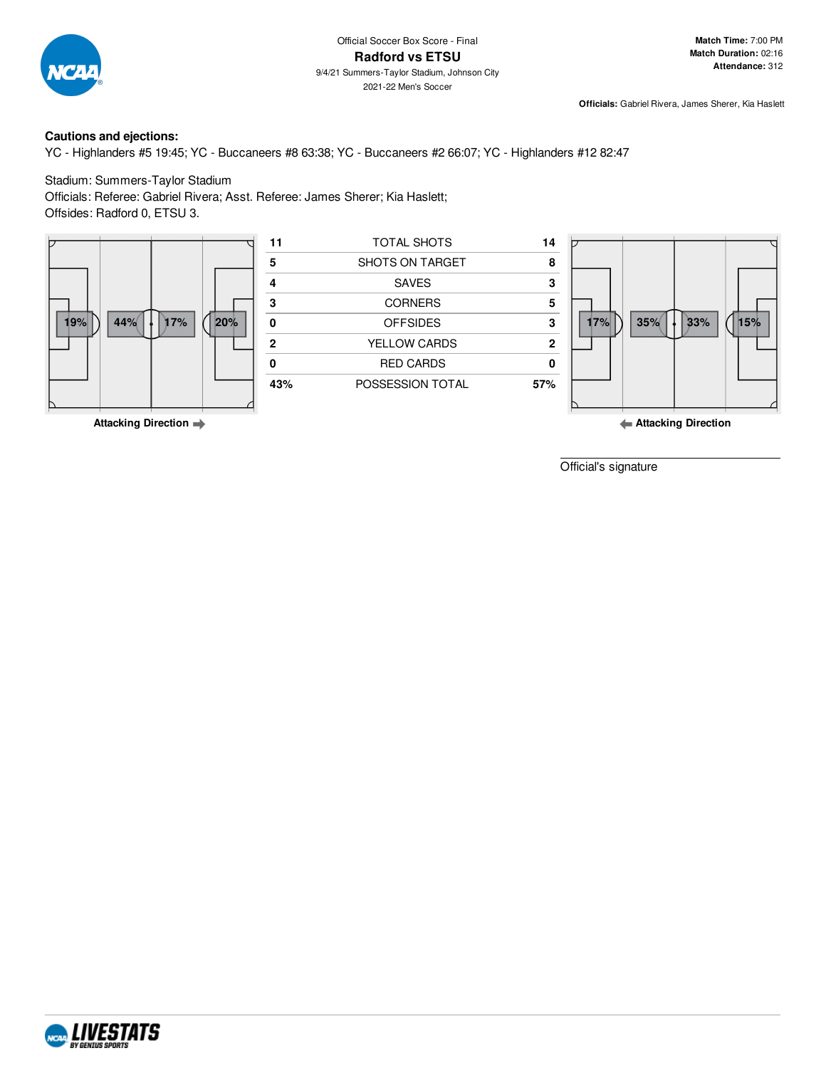

9/4/21 Summers-Taylor Stadium, Johnson City 2021-22 Men's Soccer

**Officials:** Gabriel Rivera, James Sherer, Kia Haslett

#### **Cautions and ejections:**

YC - Highlanders #5 19:45; YC - Buccaneers #8 63:38; YC - Buccaneers #2 66:07; YC - Highlanders #12 82:47

#### Stadium: Summers-Taylor Stadium

Officials: Referee: Gabriel Rivera; Asst. Referee: James Sherer; Kia Haslett; Offsides: Radford 0, ETSU 3.



**Attacking Direction**

Official's signature

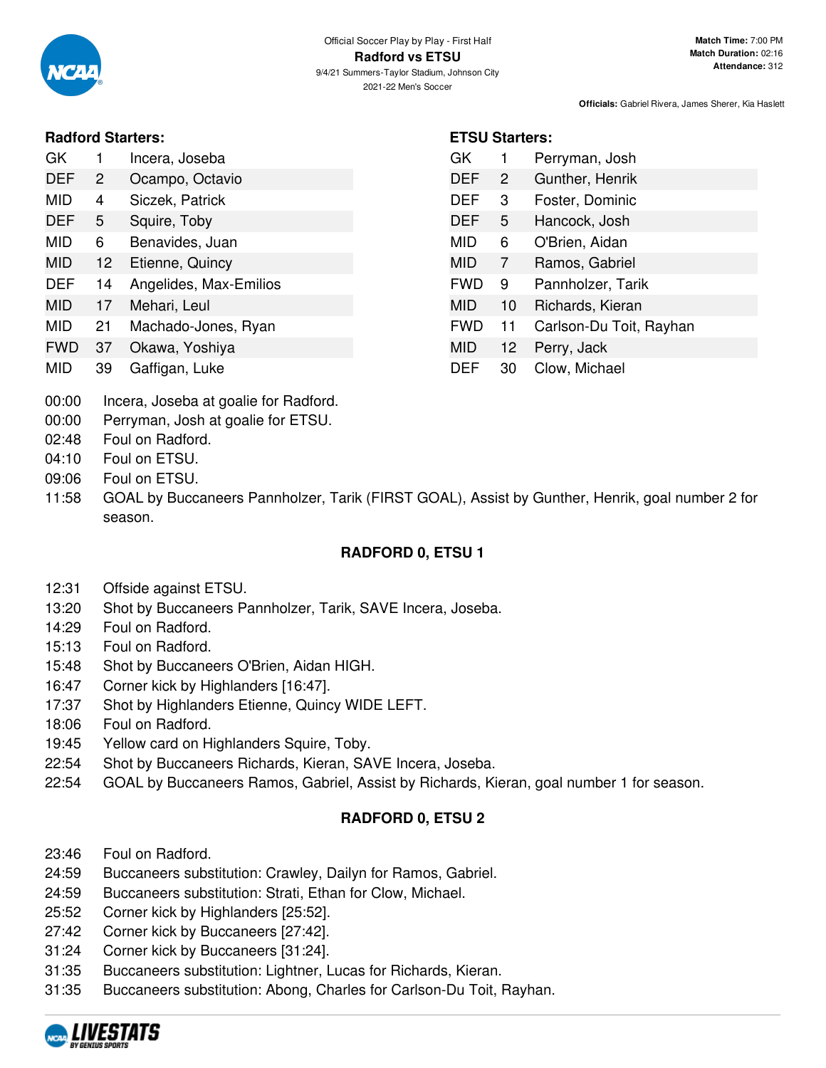

### **Radford Starters:**

| GK         |                | Incera, Joseba  |
|------------|----------------|-----------------|
| <b>DEF</b> | $\overline{2}$ | Ocampo, Octavio |

- MID 4 Siczek, Patrick
- DEF 5 Squire, Toby
- MID 6 Benavides, Juan
- MID 12 Etienne, Quincy
- DEF 14 Angelides, Max-Emilios
- MID 17 Mehari, Leul
- MID 21 Machado-Jones, Ryan
- FWD 37 Okawa, Yoshiya
- MID 39 Gaffigan, Luke
- 00:00 Incera, Joseba at goalie for Radford.
- 00:00 Perryman, Josh at goalie for ETSU.
- 02:48 Foul on Radford.
- 04:10 Foul on ETSU.
- 09:06 Foul on ETSU.
- 11:58 GOAL by Buccaneers Pannholzer, Tarik (FIRST GOAL), Assist by Gunther, Henrik, goal number 2 for season.

# **RADFORD 0, ETSU 1**

- 12:31 Offside against ETSU.
- 13:20 Shot by Buccaneers Pannholzer, Tarik, SAVE Incera, Joseba.
- 14:29 Foul on Radford.
- 15:13 Foul on Radford.
- 15:48 Shot by Buccaneers O'Brien, Aidan HIGH.
- 16:47 Corner kick by Highlanders [16:47].
- 17:37 Shot by Highlanders Etienne, Quincy WIDE LEFT.
- 18:06 Foul on Radford.
- 19:45 Yellow card on Highlanders Squire, Toby.
- 22:54 Shot by Buccaneers Richards, Kieran, SAVE Incera, Joseba.
- 22:54 GOAL by Buccaneers Ramos, Gabriel, Assist by Richards, Kieran, goal number 1 for season.

## **RADFORD 0, ETSU 2**

- 23:46 Foul on Radford.
- 24:59 Buccaneers substitution: Crawley, Dailyn for Ramos, Gabriel.
- 24:59 Buccaneers substitution: Strati, Ethan for Clow, Michael.
- 25:52 Corner kick by Highlanders [25:52].
- 27:42 Corner kick by Buccaneers [27:42].
- 31:24 Corner kick by Buccaneers [31:24].
- 31:35 Buccaneers substitution: Lightner, Lucas for Richards, Kieran.
- 31:35 Buccaneers substitution: Abong, Charles for Carlson-Du Toit, Rayhan.



# **ETSU Starters:**

| GK         | 1                 | Perryman, Josh          |
|------------|-------------------|-------------------------|
| <b>DEF</b> | 2                 | Gunther, Henrik         |
| DEF        | 3                 | Foster, Dominic         |
| DEF        | 5                 | Hancock, Josh           |
| MID        | 6                 | O'Brien, Aidan          |
| MID        | 7                 | Ramos, Gabriel          |
| <b>FWD</b> | 9                 | Pannholzer, Tarik       |
| MID        | 10                | Richards, Kieran        |
| <b>FWD</b> | 11                | Carlson-Du Toit, Rayhan |
| <b>MID</b> | $12 \overline{ }$ | Perry, Jack             |
| DEF        | 30                | Clow, Michael           |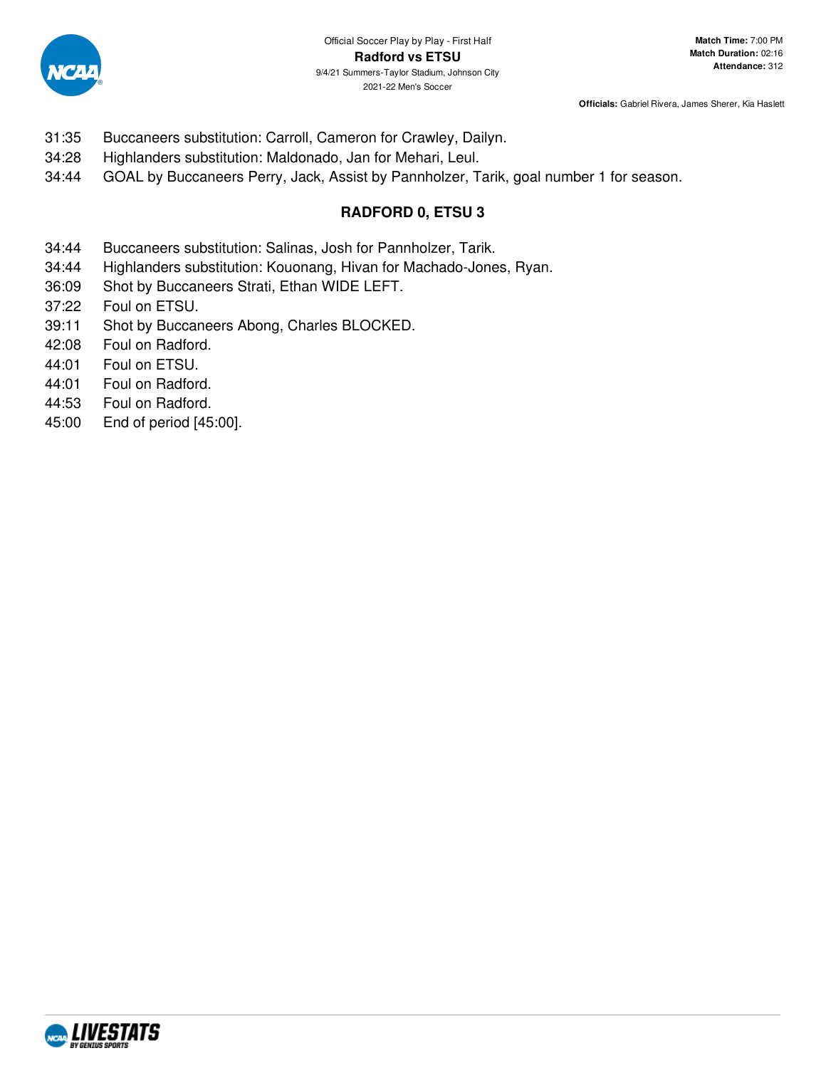

- 31:35 Buccaneers substitution: Carroll, Cameron for Crawley, Dailyn.
- 34:28 Highlanders substitution: Maldonado, Jan for Mehari, Leul.
- 34:44 GOAL by Buccaneers Perry, Jack, Assist by Pannholzer, Tarik, goal number 1 for season.

# **RADFORD 0, ETSU 3**

- 34:44 Buccaneers substitution: Salinas, Josh for Pannholzer, Tarik.
- 34:44 Highlanders substitution: Kouonang, Hivan for Machado-Jones, Ryan.
- 36:09 Shot by Buccaneers Strati, Ethan WIDE LEFT.
- 37:22 Foul on ETSU.
- 39:11 Shot by Buccaneers Abong, Charles BLOCKED.
- 42:08 Foul on Radford.
- 44:01 Foul on ETSU.
- 44:01 Foul on Radford.
- 44:53 Foul on Radford.
- 45:00 End of period [45:00].

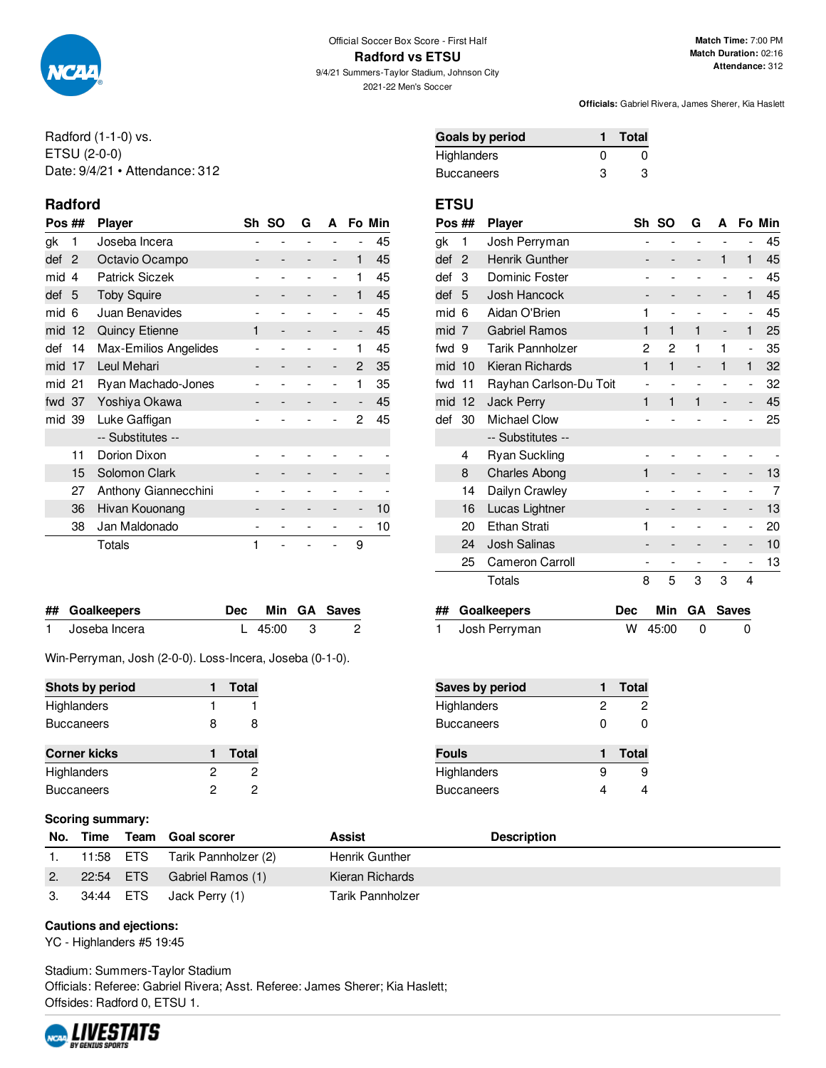

2021-22 Men's Soccer

**Match Time:** 7:00 PM **Match Duration:** 02:16 **Attendance:** 312

**Officials:** Gabriel Rivera, James Sherer, Kia Haslett

Radford (1-1-0) vs. ETSU (2-0-0) Date: 9/4/21 • Attendance: 312

## **Radford ETSU**

| Pos ## |                | <b>Player</b>         |   | Sh SO                    | G | A                        |                              | Fo Min |
|--------|----------------|-----------------------|---|--------------------------|---|--------------------------|------------------------------|--------|
| gk     | 1              | Joseba Incera         |   |                          |   |                          |                              | 45     |
| def    | $\overline{2}$ | Octavio Ocampo        |   |                          |   | $\overline{\phantom{a}}$ | 1                            | 45     |
| mid    | 4              | <b>Patrick Siczek</b> |   |                          |   | -                        | 1                            | 45     |
| def    | 5              | <b>Toby Squire</b>    |   |                          |   | -                        | 1                            | 45     |
| mid    | 6              | Juan Benavides        |   |                          |   |                          | $\overline{\phantom{a}}$     | 45     |
| mid    | 12             | <b>Quincy Etienne</b> | 1 | $\overline{\phantom{0}}$ |   |                          | $\qquad \qquad \blacksquare$ | 45     |
| def    | 14             | Max-Emilios Angelides |   |                          |   |                          | 1                            | 45     |
| mid    | 17             | Leul Mehari           |   | -                        |   | -                        | 2                            | 35     |
| mid 21 |                | Ryan Machado-Jones    |   |                          |   |                          | 1                            | 35     |
| fwd 37 |                | Yoshiya Okawa         |   |                          |   |                          | $\overline{a}$               | 45     |
| mid 39 |                | Luke Gaffigan         |   |                          |   |                          | 2                            | 45     |
|        |                | -- Substitutes --     |   |                          |   |                          |                              |        |
|        | 11             | Dorion Dixon          |   |                          |   |                          |                              |        |
|        | 15             | Solomon Clark         |   |                          |   |                          |                              |        |
|        | 27             | Anthony Giannecchini  |   |                          |   |                          |                              |        |
|        | 36             | Hivan Kouonang        |   |                          |   |                          | -                            | 10     |
|        | 38             | Jan Maldonado         |   |                          |   |                          | -                            | 10     |
|        |                | Totals                | 1 |                          |   |                          | 9                            |        |

| ## Goalkeepers  |             | Dec Min GA Saves |
|-----------------|-------------|------------------|
| 1 Joseba Incera | L $45:00$ 3 |                  |

Win-Perryman, Josh (2-0-0). Loss-Incera, Joseba (0-1-0).

| Shots by period     |   | <b>Total</b> |
|---------------------|---|--------------|
| Highlanders         |   |              |
| <b>Buccaneers</b>   | 8 | 8            |
| <b>Corner kicks</b> |   | <b>Total</b> |
| Highlanders         | 2 | 2            |
| <b>Buccaneers</b>   | 2 | 2            |

#### **Scoring summary:**

|    |           | No. Time Team Goal scorer | Assist           | <b>Description</b> |
|----|-----------|---------------------------|------------------|--------------------|
|    | 11:58 ETS | Tarik Pannholzer (2)      | Henrik Gunther   |                    |
| 2. | 22:54 ETS | Gabriel Ramos (1)         | Kieran Richards  |                    |
|    | 34:44 ETS | Jack Perry (1)            | Tarik Pannholzer |                    |

#### **Cautions and ejections:**

YC - Highlanders #5 19:45

Stadium: Summers-Taylor Stadium Officials: Referee: Gabriel Rivera; Asst. Referee: James Sherer; Kia Haslett; Offsides: Radford 0, ETSU 1.



| Goals by period |   | Total        |
|-----------------|---|--------------|
| Highlanders     |   | $\mathbf{U}$ |
| Buccaneers      | з | з            |

| Pos ## |                | Player                 | Sh             | <b>SO</b>      | G                            | А                        |                          | Fo Min |
|--------|----------------|------------------------|----------------|----------------|------------------------------|--------------------------|--------------------------|--------|
| gk     | 1              | Josh Perryman          | $\overline{a}$ | $\overline{a}$ | $\overline{\phantom{a}}$     | $\overline{a}$           | -                        | 45     |
| def    | $\overline{2}$ | Henrik Gunther         |                |                | $\overline{\phantom{m}}$     | 1                        | 1                        | 45     |
| def    | 3              | Dominic Foster         |                |                | $\overline{\phantom{0}}$     | $\overline{\phantom{0}}$ | $\overline{\phantom{a}}$ | 45     |
| def    | 5              | Josh Hancock           |                | -              |                              | -                        | 1                        | 45     |
| mid    | 6              | Aidan O'Brien          | 1              |                |                              |                          | $\overline{\phantom{a}}$ | 45     |
| mid    | 7              | <b>Gabriel Ramos</b>   |                | 1              | 1                            | -                        | 1                        | 25     |
| fwd    | 9              | Tarik Pannholzer       | 2              | 2              | 1                            | 1                        | $\overline{\phantom{a}}$ | 35     |
| mid    | 10             | Kieran Richards        | 1              | 1              | $\qquad \qquad \blacksquare$ | 1                        | 1                        | 32     |
| fwd    | 11             | Rayhan Carlson-Du Toit |                |                |                              |                          | $\overline{\phantom{0}}$ | 32     |
| mid    | 12             | <b>Jack Perry</b>      | 1              | 1              | 1                            |                          | -                        | 45     |
| def    | 30             | <b>Michael Clow</b>    |                |                |                              |                          |                          | 25     |
|        |                | -- Substitutes --      |                |                |                              |                          |                          |        |
|        | 4              | <b>Ryan Suckling</b>   |                |                |                              |                          |                          |        |
|        | 8              | <b>Charles Abong</b>   | 1              |                |                              |                          |                          | 13     |
|        | 14             | Dailyn Crawley         |                |                |                              |                          | -                        | 7      |
|        | 16             | Lucas Lightner         |                |                |                              |                          | -                        | 13     |
|        | 20             | <b>Ethan Strati</b>    | 1              |                |                              |                          | -                        | 20     |
|        | 24             | <b>Josh Salinas</b>    |                |                |                              |                          | -                        | 10     |
|        | 25             | Cameron Carroll        |                |                |                              |                          |                          | 13     |
|        |                | Totals                 | 8              | 5              | 3                            | 3                        | 4                        |        |

| ## Goalkeepers  |             | Dec Min GA Saves |
|-----------------|-------------|------------------|
| 1 Josh Perryman | $W$ 45:00 0 |                  |

| Saves by period    |   | <b>Total</b> |
|--------------------|---|--------------|
| Highlanders        | 2 | 2            |
| <b>Buccaneers</b>  | ŋ | n            |
|                    |   |              |
| <b>Fouls</b>       |   | Total        |
| <b>Highlanders</b> | я | 9            |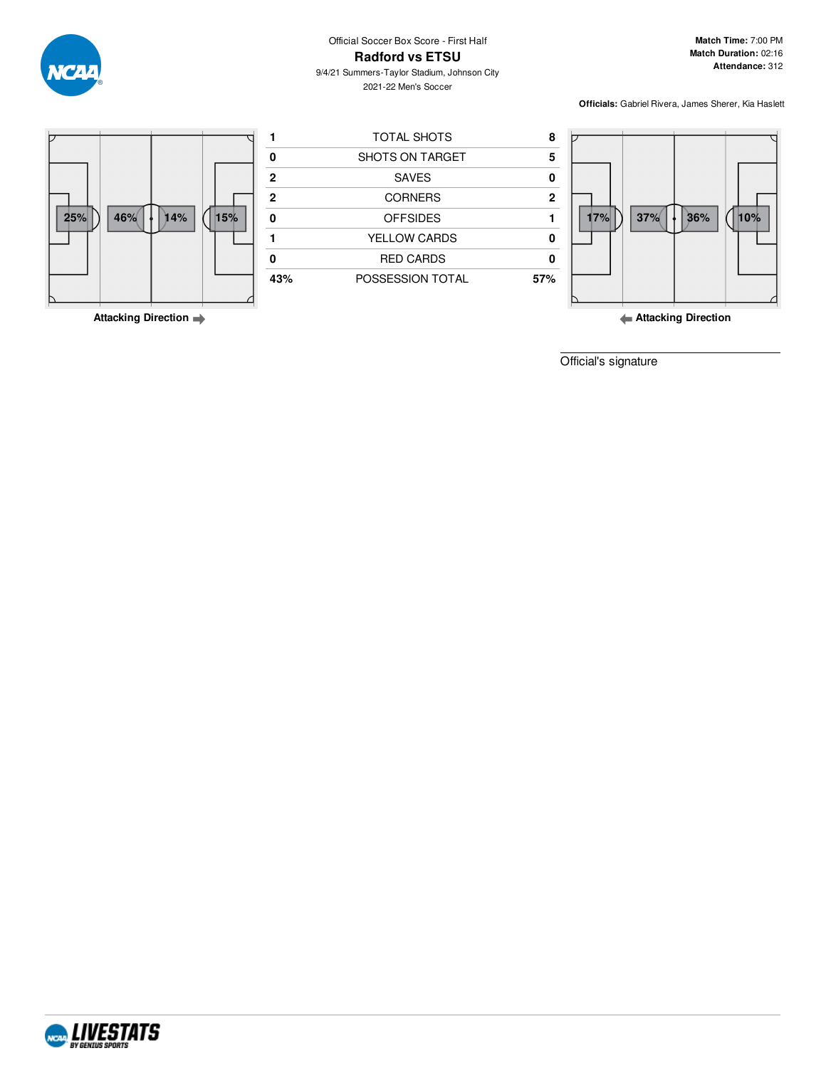

9/4/21 Summers-Taylor Stadium, Johnson City 2021-22 Men's Soccer

**Match Time:** 7:00 PM **Match Duration:** 02:16 **Attendance:** 312

**Officials:** Gabriel Rivera, James Sherer, Kia Haslett



**Attacking Direction**

**Attacking Direction**

Official's signature

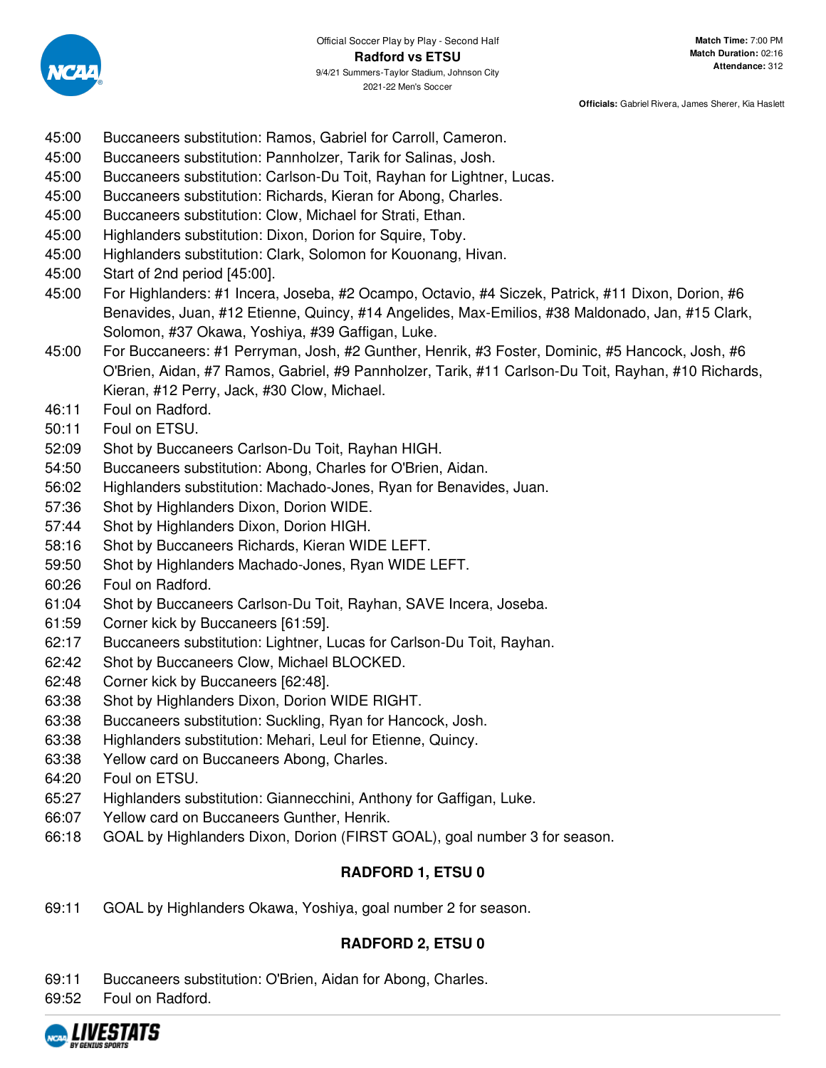

- 45:00 Buccaneers substitution: Ramos, Gabriel for Carroll, Cameron.
- 45:00 Buccaneers substitution: Pannholzer, Tarik for Salinas, Josh.
- 45:00 Buccaneers substitution: Carlson-Du Toit, Rayhan for Lightner, Lucas.
- 45:00 Buccaneers substitution: Richards, Kieran for Abong, Charles.
- 45:00 Buccaneers substitution: Clow, Michael for Strati, Ethan.
- 45:00 Highlanders substitution: Dixon, Dorion for Squire, Toby.
- 45:00 Highlanders substitution: Clark, Solomon for Kouonang, Hivan.
- 45:00 Start of 2nd period [45:00].
- 45:00 For Highlanders: #1 Incera, Joseba, #2 Ocampo, Octavio, #4 Siczek, Patrick, #11 Dixon, Dorion, #6 Benavides, Juan, #12 Etienne, Quincy, #14 Angelides, Max-Emilios, #38 Maldonado, Jan, #15 Clark, Solomon, #37 Okawa, Yoshiya, #39 Gaffigan, Luke.
- 45:00 For Buccaneers: #1 Perryman, Josh, #2 Gunther, Henrik, #3 Foster, Dominic, #5 Hancock, Josh, #6 O'Brien, Aidan, #7 Ramos, Gabriel, #9 Pannholzer, Tarik, #11 Carlson-Du Toit, Rayhan, #10 Richards, Kieran, #12 Perry, Jack, #30 Clow, Michael.
- 46:11 Foul on Radford.
- 50:11 Foul on ETSU.
- 52:09 Shot by Buccaneers Carlson-Du Toit, Rayhan HIGH.
- 54:50 Buccaneers substitution: Abong, Charles for O'Brien, Aidan.
- 56:02 Highlanders substitution: Machado-Jones, Ryan for Benavides, Juan.
- 57:36 Shot by Highlanders Dixon, Dorion WIDE.
- 57:44 Shot by Highlanders Dixon, Dorion HIGH.
- 58:16 Shot by Buccaneers Richards, Kieran WIDE LEFT.
- 59:50 Shot by Highlanders Machado-Jones, Ryan WIDE LEFT.
- 60:26 Foul on Radford.
- 61:04 Shot by Buccaneers Carlson-Du Toit, Rayhan, SAVE Incera, Joseba.
- 61:59 Corner kick by Buccaneers [61:59].
- 62:17 Buccaneers substitution: Lightner, Lucas for Carlson-Du Toit, Rayhan.
- 62:42 Shot by Buccaneers Clow, Michael BLOCKED.
- 62:48 Corner kick by Buccaneers [62:48].
- 63:38 Shot by Highlanders Dixon, Dorion WIDE RIGHT.
- 63:38 Buccaneers substitution: Suckling, Ryan for Hancock, Josh.
- 63:38 Highlanders substitution: Mehari, Leul for Etienne, Quincy.
- 63:38 Yellow card on Buccaneers Abong, Charles.
- 64:20 Foul on ETSU.
- 65:27 Highlanders substitution: Giannecchini, Anthony for Gaffigan, Luke.
- 66:07 Yellow card on Buccaneers Gunther, Henrik.
- 66:18 GOAL by Highlanders Dixon, Dorion (FIRST GOAL), goal number 3 for season.

## **RADFORD 1, ETSU 0**

69:11 GOAL by Highlanders Okawa, Yoshiya, goal number 2 for season.

## **RADFORD 2, ETSU 0**

- 69:11 Buccaneers substitution: O'Brien, Aidan for Abong, Charles.
- 69:52 Foul on Radford.

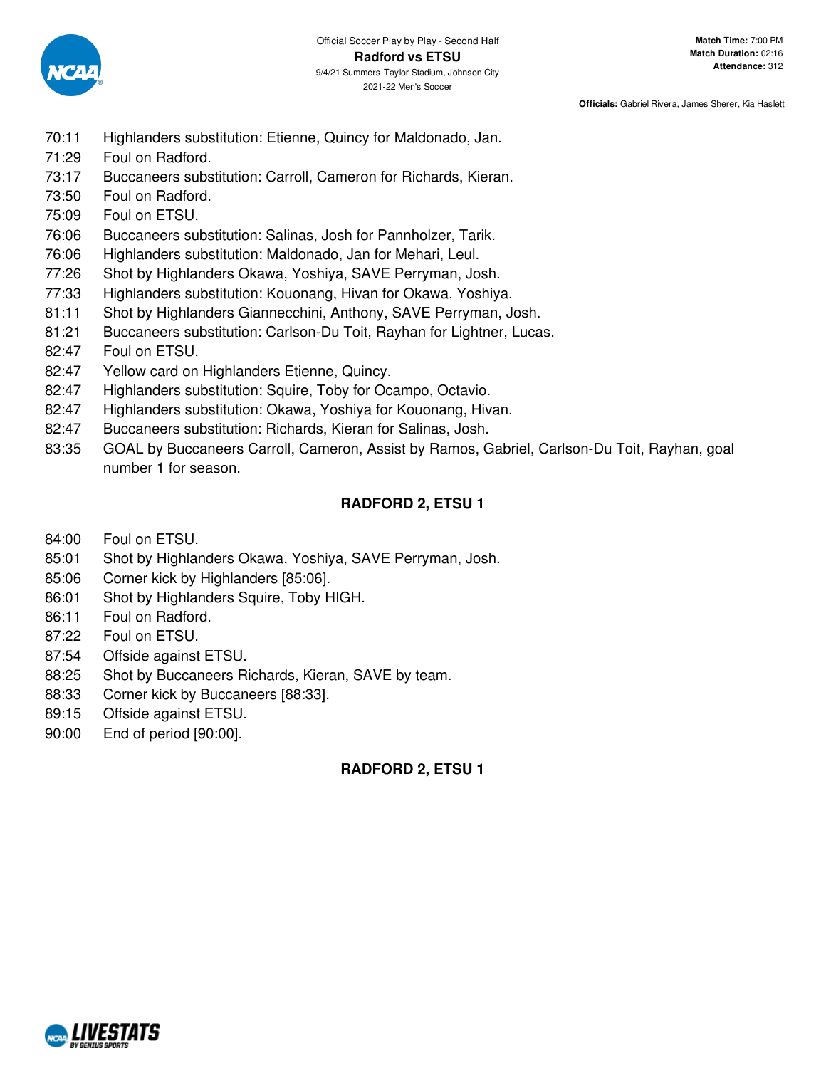

- 70:11 Highlanders substitution: Etienne, Quincy for Maldonado, Jan.
- 71:29 Foul on Radford.
- 73:17 Buccaneers substitution: Carroll, Cameron for Richards, Kieran.
- 73:50 Foul on Radford.
- 75:09 Foul on ETSU.
- 76:06 Buccaneers substitution: Salinas, Josh for Pannholzer, Tarik.
- 76:06 Highlanders substitution: Maldonado, Jan for Mehari, Leul.
- 77:26 Shot by Highlanders Okawa, Yoshiya, SAVE Perryman, Josh.
- 77:33 Highlanders substitution: Kouonang, Hivan for Okawa, Yoshiya.
- 81:11 Shot by Highlanders Giannecchini, Anthony, SAVE Perryman, Josh.
- 81:21 Buccaneers substitution: Carlson-Du Toit, Rayhan for Lightner, Lucas.
- 82:47 Foul on ETSU.
- 82:47 Yellow card on Highlanders Etienne, Quincy.
- 82:47 Highlanders substitution: Squire, Toby for Ocampo, Octavio.
- 82:47 Highlanders substitution: Okawa, Yoshiya for Kouonang, Hivan.
- 82:47 Buccaneers substitution: Richards, Kieran for Salinas, Josh.
- 83:35 GOAL by Buccaneers Carroll, Cameron, Assist by Ramos, Gabriel, Carlson-Du Toit, Rayhan, goal number 1 for season.

## **RADFORD 2, ETSU 1**

- 84:00 Foul on ETSU.
- 85:01 Shot by Highlanders Okawa, Yoshiya, SAVE Perryman, Josh.
- 85:06 Corner kick by Highlanders [85:06].
- 86:01 Shot by Highlanders Squire, Toby HIGH.
- 86:11 Foul on Radford.
- 87:22 Foul on ETSU.
- 87:54 Offside against ETSU.
- 88:25 Shot by Buccaneers Richards, Kieran, SAVE by team.
- 88:33 Corner kick by Buccaneers [88:33].
- 89:15 Offside against ETSU.
- 90:00 End of period [90:00].

### **RADFORD 2, ETSU 1**

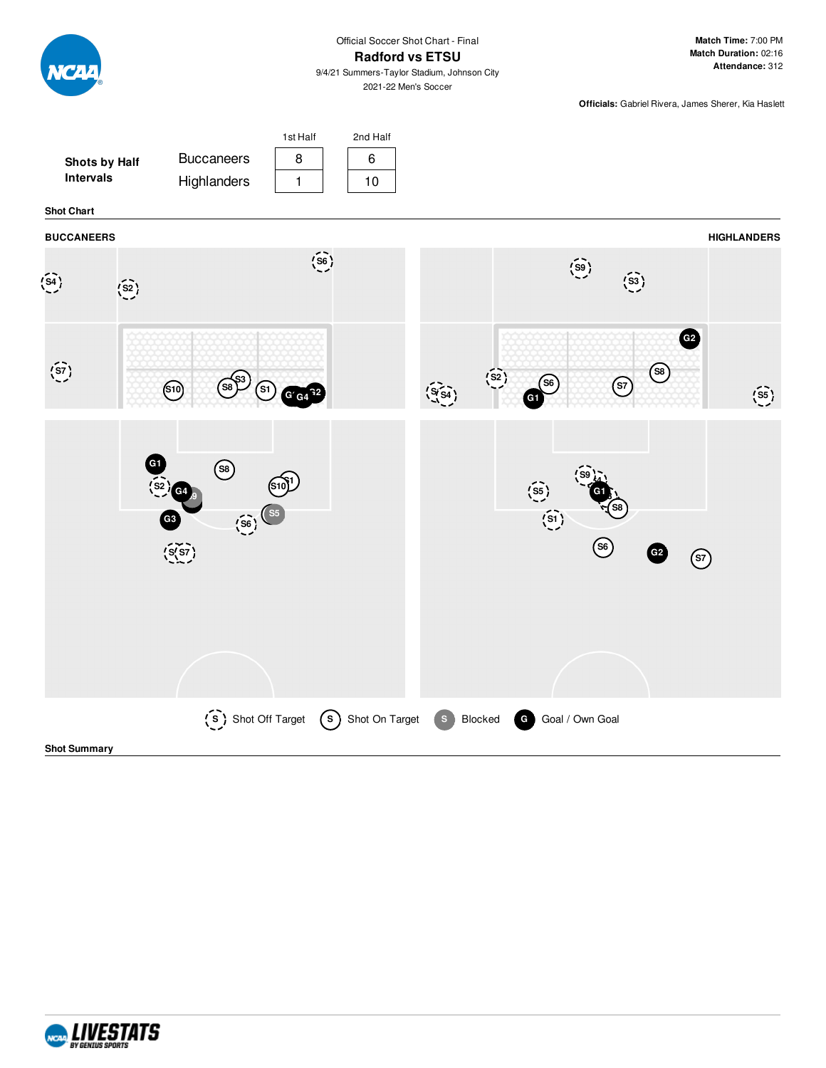

**Match Time:** 7:00 PM **Match Duration:** 02:16 **Attendance:** 312

9/4/21 Summers-Taylor Stadium, Johnson City 2021-22 Men's Soccer

**Officials:** Gabriel Rivera, James Sherer, Kia Haslett